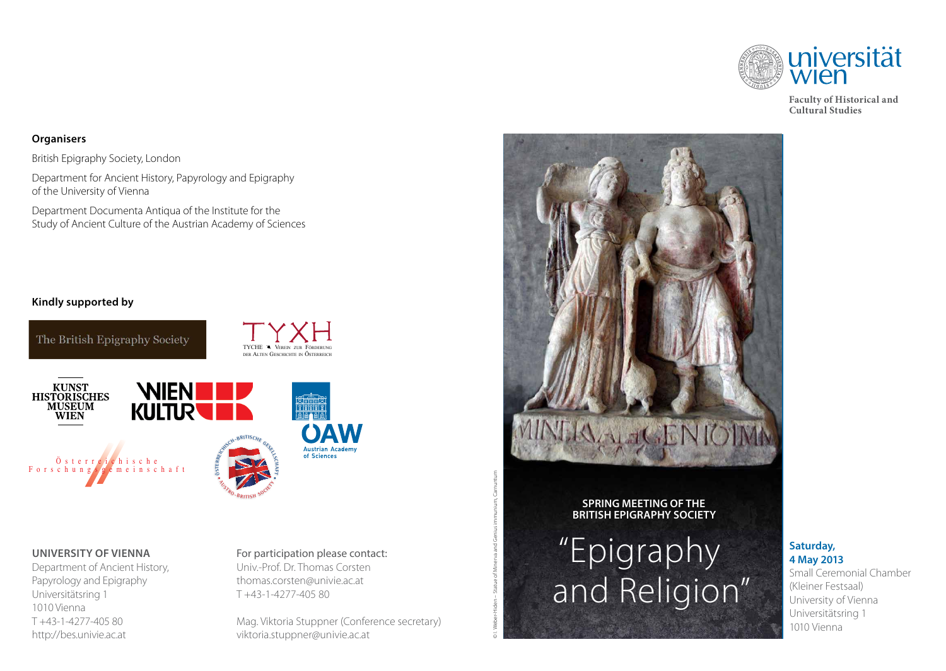

**Faculty of Historical and Cultural Studies**

## **Organisers**

British Epigraphy Society, London

Department for Ancient History, Papyrology and Epigraphy of the University of Vienna

Department Documenta Antiqua of the Institute for the Study of Ancient Culture of the Austrian Academy of Sciences

## **Kindly supported by**



### **University of vienna**

Department of Ancient History, Papyrology and Epigraphy Universitätsring 1 1010 Vienna T +43-1-4277-405 80 http://bes.univie.ac.at

# For participation please contact: Univ.-Prof. Dr. Thomas Corsten

thomas.corsten@univie.ac.at T +43-1-4277-405 80

Mag. Viktoria Stuppner (Conference secretary) viktoria.stuppner@univie.ac.at



### **Spring Meeting of the British Epigraphy Society**

© I. Weber-Hiden – Statue of Minerva and Genius immunium, Carnuntum

# "Epigraphy and Religion"

## **Saturday, 4 May 2013**

Small Ceremonial Chamber (Kleiner Festsaal) University of Vienna Universitätsring 1 1010 Vienna